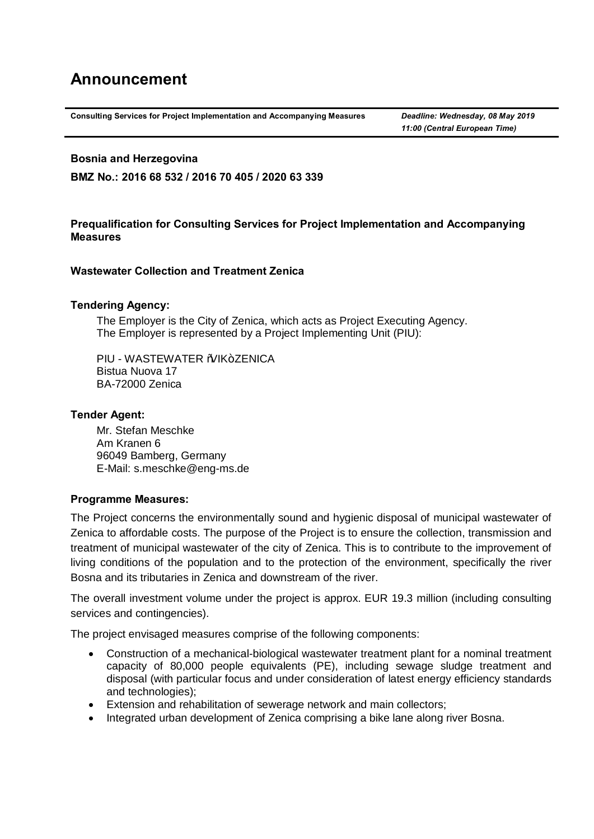# **Announcement**

**Consulting Services for Project Implementation and Accompanying Measures** *Deadline: Wednesday, 08 May 2019*

*11:00 (Central European Time)*

#### **Bosnia and Herzegovina**

**BMZ No.: 2016 68 532 / 2016 70 405 / 2020 63 339**

## **Prequalification for Consulting Services for Project Implementation and Accompanying Measures**

## **Wastewater Collection and Treatment Zenica**

## **Tendering Agency:**

The Employer is the City of Zenica, which acts as Project Executing Agency. The Employer is represented by a Project Implementing Unit (PIU):

PIU - WASTEWATER % IK+7FNICA Bistua Nuova 17 BA-72000 Zenica

## **Tender Agent:**

Mr. Stefan Meschke Am Kranen 6 96049 Bamberg, Germany E-Mail: s.meschke@eng-ms.de

## **Programme Measures:**

The Project concerns the environmentally sound and hygienic disposal of municipal wastewater of Zenica to affordable costs. The purpose of the Project is to ensure the collection, transmission and treatment of municipal wastewater of the city of Zenica. This is to contribute to the improvement of living conditions of the population and to the protection of the environment, specifically the river Bosna and its tributaries in Zenica and downstream of the river.

The overall investment volume under the project is approx. EUR 19.3 million (including consulting services and contingencies).

The project envisaged measures comprise of the following components:

- · Construction of a mechanical-biological wastewater treatment plant for a nominal treatment capacity of 80,000 people equivalents (PE), including sewage sludge treatment and disposal (with particular focus and under consideration of latest energy efficiency standards and technologies);
- · Extension and rehabilitation of sewerage network and main collectors;
- · Integrated urban development of Zenica comprising a bike lane along river Bosna.